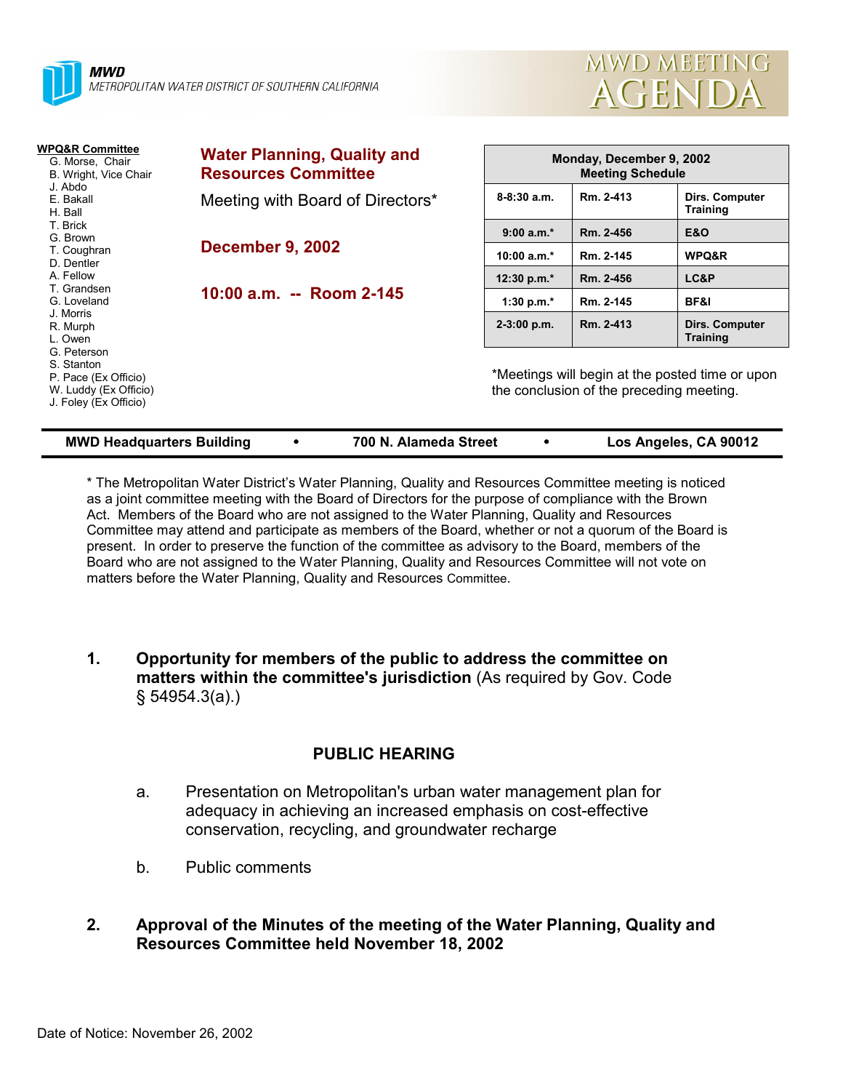



| WPQ&R Committee<br>G. Morse, Chair<br>B. Wright, Vice Chair                                         | <b>Water Planning, Quality and</b><br><b>Resources Committee</b> |                                                                                             | Monday, December 9, 2002<br><b>Meeting Schedule</b> |                                   |  |
|-----------------------------------------------------------------------------------------------------|------------------------------------------------------------------|---------------------------------------------------------------------------------------------|-----------------------------------------------------|-----------------------------------|--|
| J. Abdo<br>E. Bakall<br>H. Ball                                                                     | Meeting with Board of Directors*                                 | $8 - 8:30$ a.m.                                                                             | Rm. 2-413                                           | Dirs. Computer<br><b>Training</b> |  |
| T. Brick<br>G. Brown                                                                                |                                                                  | $9:00 a.m.*$                                                                                | Rm. 2-456                                           | <b>E&amp;O</b>                    |  |
| T. Coughran<br>D. Dentler                                                                           | <b>December 9, 2002</b>                                          | 10:00 $a.m.*$                                                                               | Rm. 2-145                                           | WPQ&R                             |  |
| A. Fellow                                                                                           |                                                                  | 12:30 p.m. $*$                                                                              | Rm. 2-456                                           | LC&P                              |  |
| T. Grandsen<br>G. Loveland<br>J. Morris                                                             | 10:00 a.m. -- Room 2-145                                         | 1:30 p.m. $*$                                                                               | Rm. 2-145                                           | BF&I                              |  |
| R. Murph<br>L. Owen                                                                                 |                                                                  | $2-3:00 p.m.$                                                                               | Rm. 2-413                                           | Dirs. Computer<br><b>Training</b> |  |
| G. Peterson<br>S. Stanton<br>P. Pace (Ex Officio)<br>W. Luddy (Ex Officio)<br>J. Foley (Ex Officio) |                                                                  | *Meetings will begin at the posted time or upon<br>the conclusion of the preceding meeting. |                                                     |                                   |  |

| <b>MWD Headquarters Building</b> |  | 700 N. Alameda Street |  | Los Angeles, CA 90012 |
|----------------------------------|--|-----------------------|--|-----------------------|
|----------------------------------|--|-----------------------|--|-----------------------|

\* The Metropolitan Water Districtís Water Planning, Quality and Resources Committee meeting is noticed as a joint committee meeting with the Board of Directors for the purpose of compliance with the Brown Act. Members of the Board who are not assigned to the Water Planning, Quality and Resources Committee may attend and participate as members of the Board, whether or not a quorum of the Board is present. In order to preserve the function of the committee as advisory to the Board, members of the Board who are not assigned to the Water Planning, Quality and Resources Committee will not vote on matters before the Water Planning, Quality and Resources Committee.

**1. Opportunity for members of the public to address the committee on matters within the committee's jurisdiction** (As required by Gov. Code ß 54954.3(a).)

# **PUBLIC HEARING**

- a. Presentation on Metropolitan's urban water management plan for adequacy in achieving an increased emphasis on cost-effective conservation, recycling, and groundwater recharge
- b. Public comments
- **2. Approval of the Minutes of the meeting of the Water Planning, Quality and Resources Committee held November 18, 2002**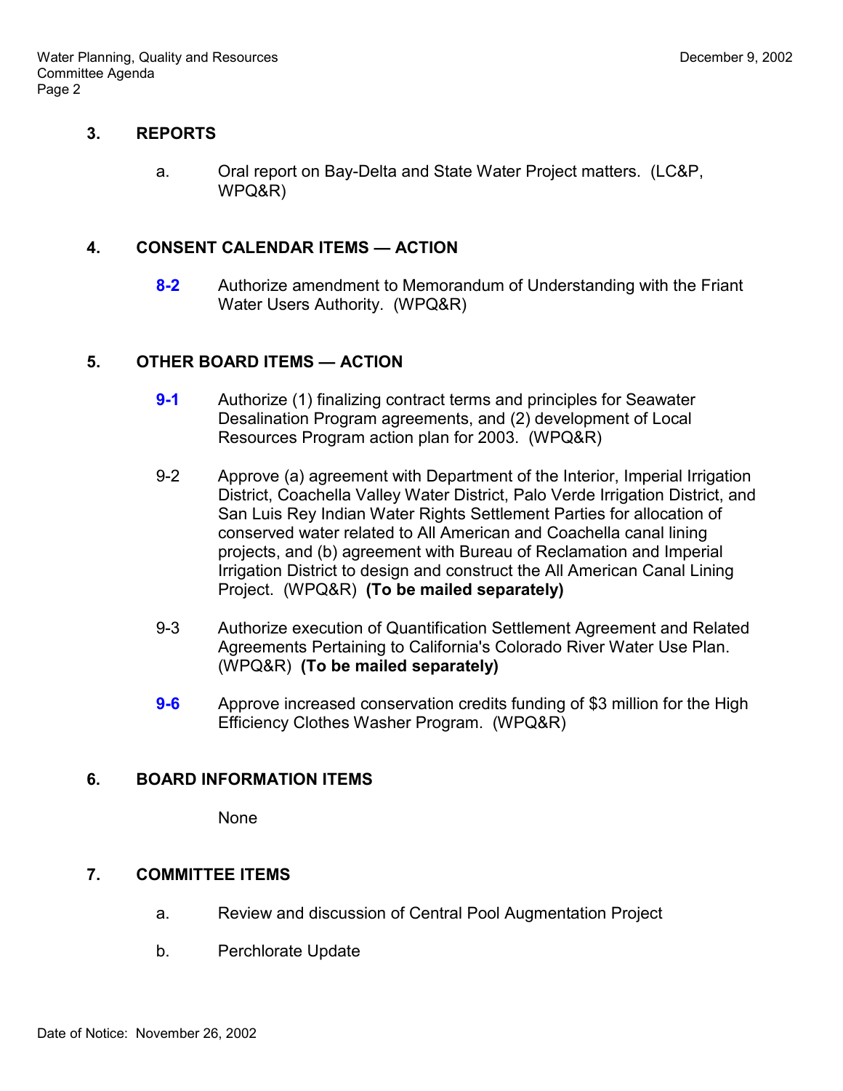# **3. REPORTS**

a. Oral report on Bay-Delta and State Water Project matters. (LC&P, WPQ&R)

#### **4. CONSENT CALENDAR ITEMS — ACTION**

**8-2** Authorize amendment to Memorandum of Understanding with the Friant Water Users Authority. (WPQ&R)

# **5. OTHER BOARD ITEMS — ACTION**

- **9-1** Authorize (1) finalizing contract terms and principles for Seawater Desalination Program agreements, and (2) development of Local Resources Program action plan for 2003. (WPQ&R)
- 9-2 Approve (a) agreement with Department of the Interior, Imperial Irrigation District, Coachella Valley Water District, Palo Verde Irrigation District, and San Luis Rey Indian Water Rights Settlement Parties for allocation of conserved water related to All American and Coachella canal lining projects, and (b) agreement with Bureau of Reclamation and Imperial Irrigation District to design and construct the All American Canal Lining Project. (WPQ&R) **(To be mailed separately)**
- 9-3 Authorize execution of Quantification Settlement Agreement and Related Agreements Pertaining to California's Colorado River Water Use Plan. (WPQ&R) **(To be mailed separately)**
- **9-6** Approve increased conservation credits funding of \$3 million for the High Efficiency Clothes Washer Program. (WPQ&R)

## **6. BOARD INFORMATION ITEMS**

None

## **7. COMMITTEE ITEMS**

- a. Review and discussion of Central Pool Augmentation Project
- b. Perchlorate Update